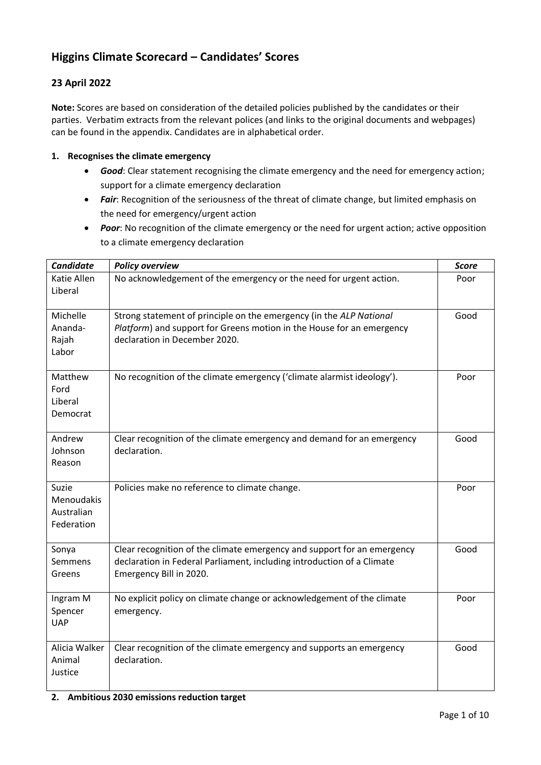# **Higgins Climate Scorecard – Candidates' Scores**

## **23 April 2022**

**Note:** Scores are based on consideration of the detailed policies published by the candidates or their parties. Verbatim extracts from the relevant polices (and links to the original documents and webpages) can be found in the appendix. Candidates are in alphabetical order.

#### **1. Recognises the climate emergency**

- *Good*: Clear statement recognising the climate emergency and the need for emergency action; support for a climate emergency declaration
- **•** Fair: Recognition of the seriousness of the threat of climate change, but limited emphasis on the need for emergency/urgent action
- *Poor*: No recognition of the climate emergency or the need for urgent action; active opposition to a climate emergency declaration

| <b>Candidate</b>                                | <b>Policy overview</b>                                                                                                                                                        | <b>Score</b> |
|-------------------------------------------------|-------------------------------------------------------------------------------------------------------------------------------------------------------------------------------|--------------|
| Katie Allen<br>Liberal                          | No acknowledgement of the emergency or the need for urgent action.                                                                                                            | Poor         |
| Michelle<br>Ananda-<br>Rajah<br>Labor           | Strong statement of principle on the emergency (in the ALP National<br>Platform) and support for Greens motion in the House for an emergency<br>declaration in December 2020. | Good         |
| Matthew<br>Ford<br>Liberal<br>Democrat          | No recognition of the climate emergency ('climate alarmist ideology').                                                                                                        | Poor         |
| Andrew<br>Johnson<br>Reason                     | Clear recognition of the climate emergency and demand for an emergency<br>declaration.                                                                                        | Good         |
| Suzie<br>Menoudakis<br>Australian<br>Federation | Policies make no reference to climate change.                                                                                                                                 | Poor         |
| Sonya<br>Semmens<br>Greens                      | Clear recognition of the climate emergency and support for an emergency<br>declaration in Federal Parliament, including introduction of a Climate<br>Emergency Bill in 2020.  | Good         |
| Ingram M<br>Spencer<br><b>UAP</b>               | No explicit policy on climate change or acknowledgement of the climate<br>emergency.                                                                                          | Poor         |
| Alicia Walker<br>Animal<br>Justice              | Clear recognition of the climate emergency and supports an emergency<br>declaration.                                                                                          | Good         |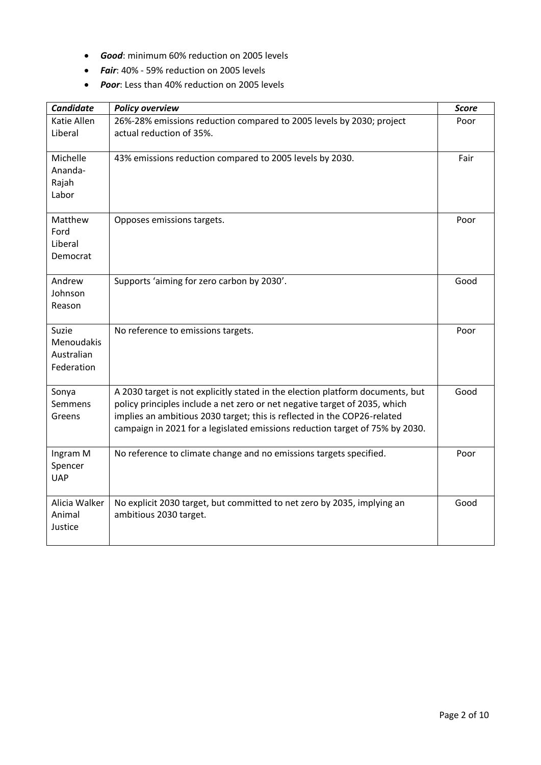- *Good*: minimum 60% reduction on 2005 levels
- *Fair*: 40% 59% reduction on 2005 levels
- *Poor*: Less than 40% reduction on 2005 levels

| <b>Candidate</b>                                | <b>Policy overview</b>                                                                                                                                                                                                                                                                                                   | <b>Score</b> |
|-------------------------------------------------|--------------------------------------------------------------------------------------------------------------------------------------------------------------------------------------------------------------------------------------------------------------------------------------------------------------------------|--------------|
| Katie Allen<br>Liberal                          | 26%-28% emissions reduction compared to 2005 levels by 2030; project<br>actual reduction of 35%.                                                                                                                                                                                                                         | Poor         |
| Michelle<br>Ananda-<br>Rajah<br>Labor           | 43% emissions reduction compared to 2005 levels by 2030.                                                                                                                                                                                                                                                                 | Fair         |
| Matthew<br>Ford<br>Liberal<br>Democrat          | Opposes emissions targets.                                                                                                                                                                                                                                                                                               | Poor         |
| Andrew<br>Johnson<br>Reason                     | Supports 'aiming for zero carbon by 2030'.                                                                                                                                                                                                                                                                               | Good         |
| Suzie<br>Menoudakis<br>Australian<br>Federation | No reference to emissions targets.                                                                                                                                                                                                                                                                                       | Poor         |
| Sonya<br>Semmens<br>Greens                      | A 2030 target is not explicitly stated in the election platform documents, but<br>policy principles include a net zero or net negative target of 2035, which<br>implies an ambitious 2030 target; this is reflected in the COP26-related<br>campaign in 2021 for a legislated emissions reduction target of 75% by 2030. | Good         |
| Ingram M<br>Spencer<br><b>UAP</b>               | No reference to climate change and no emissions targets specified.                                                                                                                                                                                                                                                       | Poor         |
| Alicia Walker<br>Animal<br>Justice              | No explicit 2030 target, but committed to net zero by 2035, implying an<br>ambitious 2030 target.                                                                                                                                                                                                                        | Good         |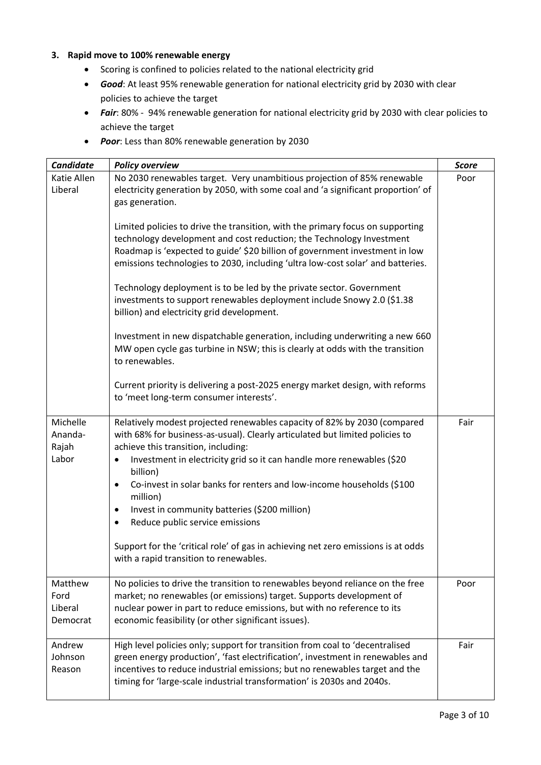## **3. Rapid move to 100% renewable energy**

- Scoring is confined to policies related to the national electricity grid
- *Good*: At least 95% renewable generation for national electricity grid by 2030 with clear policies to achieve the target
- *Fair*: 80% 94% renewable generation for national electricity grid by 2030 with clear policies to achieve the target
- *Poor*: Less than 80% renewable generation by 2030

| <b>Candidate</b>                       | <b>Policy overview</b>                                                                                                                                                                                                                                                                                                                                                                                                                                                                                                                                                                                                                                                                                                                                                                                                                                                                                                                                                                                                   | <b>Score</b> |
|----------------------------------------|--------------------------------------------------------------------------------------------------------------------------------------------------------------------------------------------------------------------------------------------------------------------------------------------------------------------------------------------------------------------------------------------------------------------------------------------------------------------------------------------------------------------------------------------------------------------------------------------------------------------------------------------------------------------------------------------------------------------------------------------------------------------------------------------------------------------------------------------------------------------------------------------------------------------------------------------------------------------------------------------------------------------------|--------------|
| Katie Allen<br>Liberal                 | No 2030 renewables target. Very unambitious projection of 85% renewable<br>electricity generation by 2050, with some coal and 'a significant proportion' of<br>gas generation.<br>Limited policies to drive the transition, with the primary focus on supporting<br>technology development and cost reduction; the Technology Investment<br>Roadmap is 'expected to guide' \$20 billion of government investment in low<br>emissions technologies to 2030, including 'ultra low-cost solar' and batteries.<br>Technology deployment is to be led by the private sector. Government<br>investments to support renewables deployment include Snowy 2.0 (\$1.38<br>billion) and electricity grid development.<br>Investment in new dispatchable generation, including underwriting a new 660<br>MW open cycle gas turbine in NSW; this is clearly at odds with the transition<br>to renewables.<br>Current priority is delivering a post-2025 energy market design, with reforms<br>to 'meet long-term consumer interests'. | Poor         |
| Michelle<br>Ananda-<br>Rajah<br>Labor  | Relatively modest projected renewables capacity of 82% by 2030 (compared<br>with 68% for business-as-usual). Clearly articulated but limited policies to<br>achieve this transition, including:<br>Investment in electricity grid so it can handle more renewables (\$20<br>billion)<br>Co-invest in solar banks for renters and low-income households (\$100<br>$\bullet$<br>million)<br>Invest in community batteries (\$200 million)<br>٠<br>Reduce public service emissions<br>$\bullet$<br>Support for the 'critical role' of gas in achieving net zero emissions is at odds<br>with a rapid transition to renewables.                                                                                                                                                                                                                                                                                                                                                                                              | Fair         |
| Matthew<br>Ford<br>Liberal<br>Democrat | No policies to drive the transition to renewables beyond reliance on the free<br>market; no renewables (or emissions) target. Supports development of<br>nuclear power in part to reduce emissions, but with no reference to its<br>economic feasibility (or other significant issues).                                                                                                                                                                                                                                                                                                                                                                                                                                                                                                                                                                                                                                                                                                                                  | Poor         |
| Andrew<br>Johnson<br>Reason            | High level policies only; support for transition from coal to 'decentralised<br>green energy production', 'fast electrification', investment in renewables and<br>incentives to reduce industrial emissions; but no renewables target and the<br>timing for 'large-scale industrial transformation' is 2030s and 2040s.                                                                                                                                                                                                                                                                                                                                                                                                                                                                                                                                                                                                                                                                                                  | Fair         |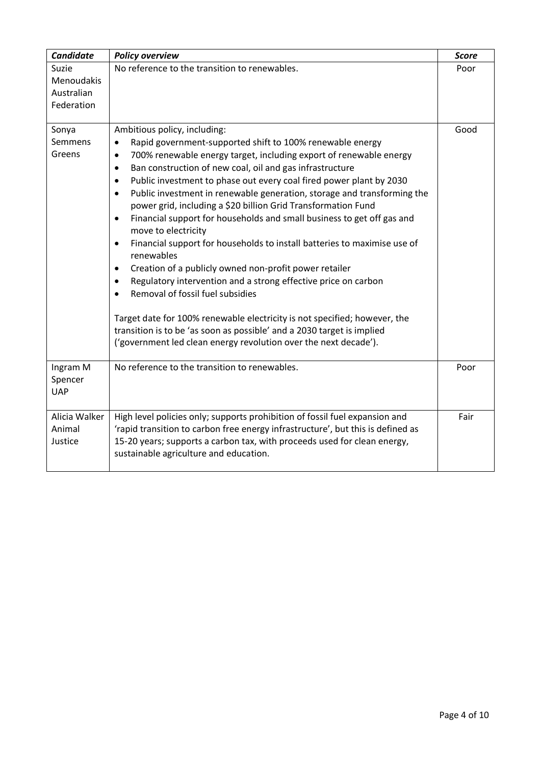| <b>Candidate</b>                  | <b>Policy overview</b>                                                                                                                                                   | <b>Score</b> |
|-----------------------------------|--------------------------------------------------------------------------------------------------------------------------------------------------------------------------|--------------|
| Suzie<br>Menoudakis               | No reference to the transition to renewables.                                                                                                                            | Poor         |
| Australian                        |                                                                                                                                                                          |              |
| Federation                        |                                                                                                                                                                          |              |
|                                   |                                                                                                                                                                          |              |
| Sonya                             | Ambitious policy, including:                                                                                                                                             | Good         |
| Semmens                           | Rapid government-supported shift to 100% renewable energy<br>٠                                                                                                           |              |
| Greens                            | 700% renewable energy target, including export of renewable energy<br>$\bullet$                                                                                          |              |
|                                   | Ban construction of new coal, oil and gas infrastructure<br>$\bullet$                                                                                                    |              |
|                                   | Public investment to phase out every coal fired power plant by 2030<br>$\bullet$<br>Public investment in renewable generation, storage and transforming the<br>$\bullet$ |              |
|                                   | power grid, including a \$20 billion Grid Transformation Fund                                                                                                            |              |
|                                   | Financial support for households and small business to get off gas and<br>$\bullet$                                                                                      |              |
|                                   | move to electricity<br>Financial support for households to install batteries to maximise use of<br>$\bullet$                                                             |              |
|                                   | renewables                                                                                                                                                               |              |
|                                   | Creation of a publicly owned non-profit power retailer<br>٠                                                                                                              |              |
|                                   | Regulatory intervention and a strong effective price on carbon<br>٠                                                                                                      |              |
|                                   | Removal of fossil fuel subsidies                                                                                                                                         |              |
|                                   | Target date for 100% renewable electricity is not specified; however, the                                                                                                |              |
|                                   | transition is to be 'as soon as possible' and a 2030 target is implied                                                                                                   |              |
|                                   | ('government led clean energy revolution over the next decade').                                                                                                         |              |
| Ingram M<br>Spencer<br><b>UAP</b> | No reference to the transition to renewables.                                                                                                                            | Poor         |
| Alicia Walker                     | High level policies only; supports prohibition of fossil fuel expansion and                                                                                              | Fair         |
| Animal                            | 'rapid transition to carbon free energy infrastructure', but this is defined as                                                                                          |              |
| Justice                           | 15-20 years; supports a carbon tax, with proceeds used for clean energy,                                                                                                 |              |
|                                   | sustainable agriculture and education.                                                                                                                                   |              |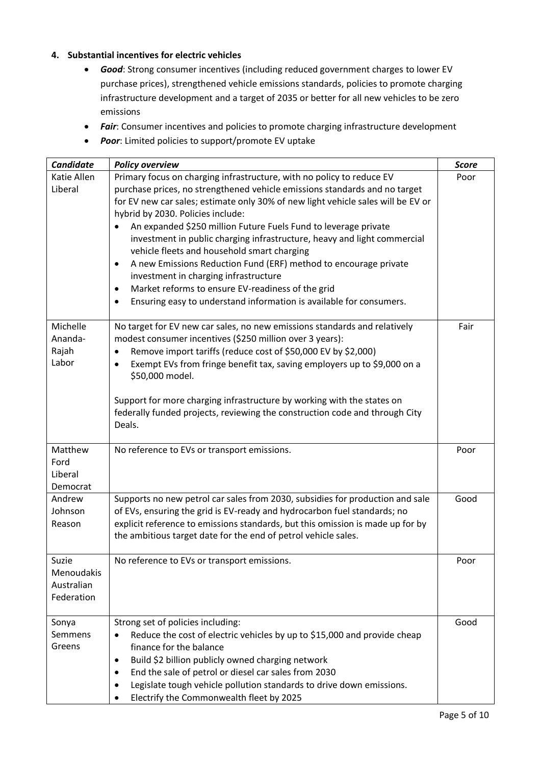## **4. Substantial incentives for electric vehicles**

- *Good*: Strong consumer incentives (including reduced government charges to lower EV purchase prices), strengthened vehicle emissions standards, policies to promote charging infrastructure development and a target of 2035 or better for all new vehicles to be zero emissions
- *Fair*: Consumer incentives and policies to promote charging infrastructure development
- *Poor*: Limited policies to support/promote EV uptake

| <b>Candidate</b>                                | <b>Policy overview</b>                                                                                                                                                                                                                                                                                                                                                                                                                                                                                                                                                                                                                                                                                                                             | <b>Score</b> |
|-------------------------------------------------|----------------------------------------------------------------------------------------------------------------------------------------------------------------------------------------------------------------------------------------------------------------------------------------------------------------------------------------------------------------------------------------------------------------------------------------------------------------------------------------------------------------------------------------------------------------------------------------------------------------------------------------------------------------------------------------------------------------------------------------------------|--------------|
| Katie Allen<br>Liberal                          | Primary focus on charging infrastructure, with no policy to reduce EV<br>purchase prices, no strengthened vehicle emissions standards and no target<br>for EV new car sales; estimate only 30% of new light vehicle sales will be EV or<br>hybrid by 2030. Policies include:<br>An expanded \$250 million Future Fuels Fund to leverage private<br>investment in public charging infrastructure, heavy and light commercial<br>vehicle fleets and household smart charging<br>A new Emissions Reduction Fund (ERF) method to encourage private<br>$\bullet$<br>investment in charging infrastructure<br>Market reforms to ensure EV-readiness of the grid<br>$\bullet$<br>Ensuring easy to understand information is available for consumers.<br>٠ | Poor         |
| Michelle<br>Ananda-<br>Rajah<br>Labor           | No target for EV new car sales, no new emissions standards and relatively<br>modest consumer incentives (\$250 million over 3 years):<br>Remove import tariffs (reduce cost of \$50,000 EV by \$2,000)<br>Exempt EVs from fringe benefit tax, saving employers up to \$9,000 on a<br>\$50,000 model.<br>Support for more charging infrastructure by working with the states on<br>federally funded projects, reviewing the construction code and through City<br>Deals.                                                                                                                                                                                                                                                                            | Fair         |
| Matthew<br>Ford<br>Liberal<br>Democrat          | No reference to EVs or transport emissions.                                                                                                                                                                                                                                                                                                                                                                                                                                                                                                                                                                                                                                                                                                        | Poor         |
| Andrew<br>Johnson<br>Reason                     | Supports no new petrol car sales from 2030, subsidies for production and sale<br>of EVs, ensuring the grid is EV-ready and hydrocarbon fuel standards; no<br>explicit reference to emissions standards, but this omission is made up for by<br>the ambitious target date for the end of petrol vehicle sales.                                                                                                                                                                                                                                                                                                                                                                                                                                      | Good         |
| Suzie<br>Menoudakis<br>Australian<br>Federation | No reference to EVs or transport emissions.                                                                                                                                                                                                                                                                                                                                                                                                                                                                                                                                                                                                                                                                                                        | Poor         |
| Sonya<br>Semmens<br>Greens                      | Strong set of policies including:<br>Reduce the cost of electric vehicles by up to \$15,000 and provide cheap<br>finance for the balance<br>Build \$2 billion publicly owned charging network<br>$\bullet$<br>End the sale of petrol or diesel car sales from 2030<br>٠<br>Legislate tough vehicle pollution standards to drive down emissions.<br>Electrify the Commonwealth fleet by 2025                                                                                                                                                                                                                                                                                                                                                        | Good         |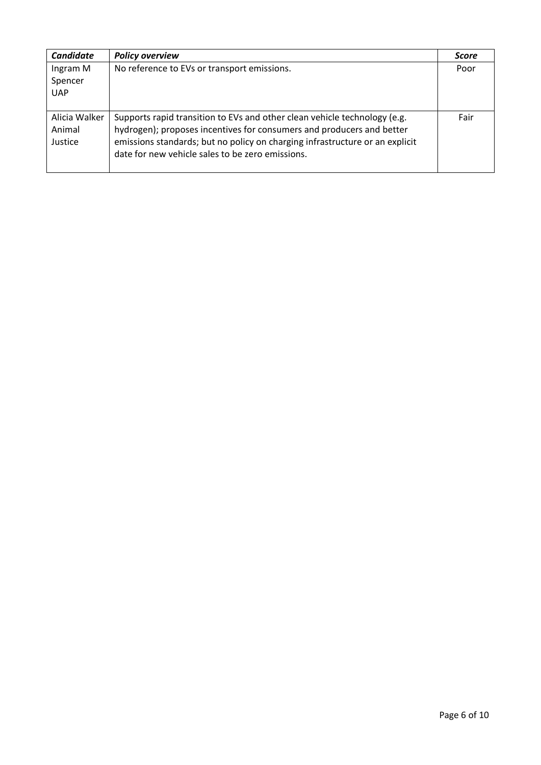| <b>Candidate</b>                   | <b>Policy overview</b>                                                                                                                                                                                                                                                                 | <b>Score</b> |
|------------------------------------|----------------------------------------------------------------------------------------------------------------------------------------------------------------------------------------------------------------------------------------------------------------------------------------|--------------|
| Ingram M<br>Spencer<br><b>UAP</b>  | No reference to EVs or transport emissions.                                                                                                                                                                                                                                            | Poor         |
| Alicia Walker<br>Animal<br>Justice | Supports rapid transition to EVs and other clean vehicle technology (e.g.<br>hydrogen); proposes incentives for consumers and producers and better<br>emissions standards; but no policy on charging infrastructure or an explicit<br>date for new vehicle sales to be zero emissions. | Fair         |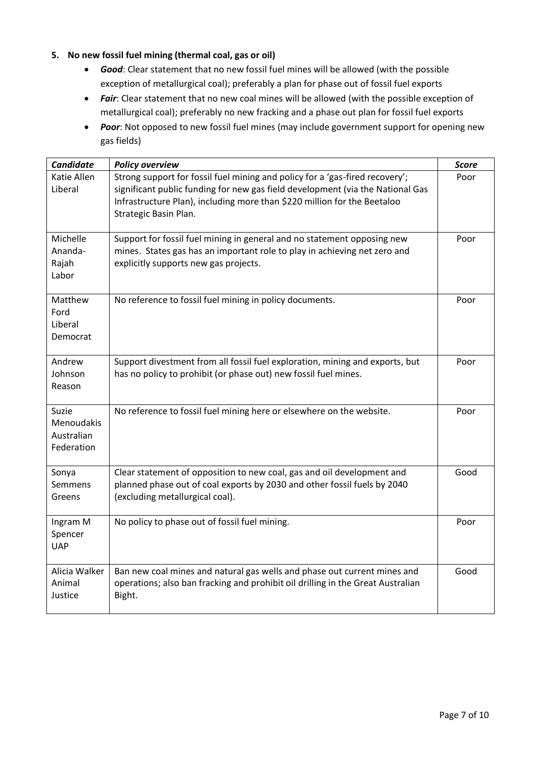## **5. No new fossil fuel mining (thermal coal, gas or oil)**

- *Good*: Clear statement that no new fossil fuel mines will be allowed (with the possible exception of metallurgical coal); preferably a plan for phase out of fossil fuel exports
- Fair: Clear statement that no new coal mines will be allowed (with the possible exception of metallurgical coal); preferably no new fracking and a phase out plan for fossil fuel exports
- *Poor*: Not opposed to new fossil fuel mines (may include government support for opening new gas fields)

| <b>Candidate</b>                                | <b>Policy overview</b>                                                                                                                                                                                                                                              | <b>Score</b> |
|-------------------------------------------------|---------------------------------------------------------------------------------------------------------------------------------------------------------------------------------------------------------------------------------------------------------------------|--------------|
| Katie Allen<br>Liberal                          | Strong support for fossil fuel mining and policy for a 'gas-fired recovery';<br>significant public funding for new gas field development (via the National Gas<br>Infrastructure Plan), including more than \$220 million for the Beetaloo<br>Strategic Basin Plan. | Poor         |
| Michelle<br>Ananda-<br>Rajah<br>Labor           | Support for fossil fuel mining in general and no statement opposing new<br>mines. States gas has an important role to play in achieving net zero and<br>explicitly supports new gas projects.                                                                       | Poor         |
| Matthew<br>Ford<br>Liberal<br>Democrat          | No reference to fossil fuel mining in policy documents.                                                                                                                                                                                                             | Poor         |
| Andrew<br>Johnson<br>Reason                     | Support divestment from all fossil fuel exploration, mining and exports, but<br>has no policy to prohibit (or phase out) new fossil fuel mines.                                                                                                                     | Poor         |
| Suzie<br>Menoudakis<br>Australian<br>Federation | No reference to fossil fuel mining here or elsewhere on the website.                                                                                                                                                                                                | Poor         |
| Sonya<br>Semmens<br>Greens                      | Clear statement of opposition to new coal, gas and oil development and<br>planned phase out of coal exports by 2030 and other fossil fuels by 2040<br>(excluding metallurgical coal).                                                                               | Good         |
| Ingram M<br>Spencer<br><b>UAP</b>               | No policy to phase out of fossil fuel mining.                                                                                                                                                                                                                       | Poor         |
| Alicia Walker<br>Animal<br>Justice              | Ban new coal mines and natural gas wells and phase out current mines and<br>operations; also ban fracking and prohibit oil drilling in the Great Australian<br>Bight.                                                                                               | Good         |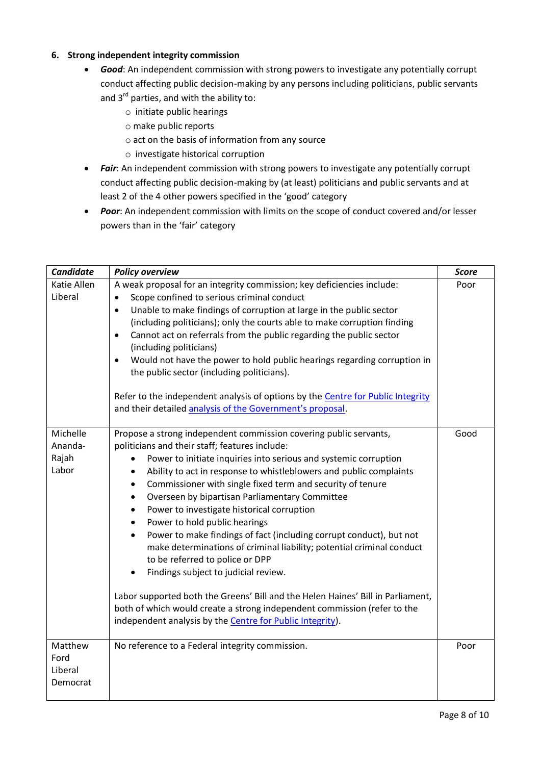#### **6. Strong independent integrity commission**

- *Good*: An independent commission with strong powers to investigate any potentially corrupt conduct affecting public decision-making by any persons including politicians, public servants and  $3^{rd}$  parties, and with the ability to:
	- o initiate public hearings
	- o make public reports
	- o act on the basis of information from any source
	- o investigate historical corruption
- *Fair*: An independent commission with strong powers to investigate any potentially corrupt conduct affecting public decision-making by (at least) politicians and public servants and at least 2 of the 4 other powers specified in the 'good' category
- *Poor*: An independent commission with limits on the scope of conduct covered and/or lesser powers than in the 'fair' category

| <b>Candidate</b>                       | <b>Policy overview</b>                                                                                                                                                                                                                                                                                                                                                                                                                                                                                                                                                                                                                                                                                                                                                                                                                                                                                                                                                                                         | <b>Score</b> |
|----------------------------------------|----------------------------------------------------------------------------------------------------------------------------------------------------------------------------------------------------------------------------------------------------------------------------------------------------------------------------------------------------------------------------------------------------------------------------------------------------------------------------------------------------------------------------------------------------------------------------------------------------------------------------------------------------------------------------------------------------------------------------------------------------------------------------------------------------------------------------------------------------------------------------------------------------------------------------------------------------------------------------------------------------------------|--------------|
| Katie Allen<br>Liberal                 | A weak proposal for an integrity commission; key deficiencies include:<br>Scope confined to serious criminal conduct<br>$\bullet$<br>Unable to make findings of corruption at large in the public sector<br>$\bullet$<br>(including politicians); only the courts able to make corruption finding<br>Cannot act on referrals from the public regarding the public sector<br>$\bullet$<br>(including politicians)<br>Would not have the power to hold public hearings regarding corruption in<br>$\bullet$<br>the public sector (including politicians).<br>Refer to the independent analysis of options by the Centre for Public Integrity<br>and their detailed analysis of the Government's proposal.                                                                                                                                                                                                                                                                                                        | Poor         |
| Michelle<br>Ananda-<br>Rajah<br>Labor  | Propose a strong independent commission covering public servants,<br>politicians and their staff; features include:<br>Power to initiate inquiries into serious and systemic corruption<br>$\bullet$<br>Ability to act in response to whistleblowers and public complaints<br>$\bullet$<br>Commissioner with single fixed term and security of tenure<br>$\bullet$<br>Overseen by bipartisan Parliamentary Committee<br>$\bullet$<br>Power to investigate historical corruption<br>$\bullet$<br>Power to hold public hearings<br>$\bullet$<br>Power to make findings of fact (including corrupt conduct), but not<br>$\bullet$<br>make determinations of criminal liability; potential criminal conduct<br>to be referred to police or DPP<br>Findings subject to judicial review.<br>Labor supported both the Greens' Bill and the Helen Haines' Bill in Parliament,<br>both of which would create a strong independent commission (refer to the<br>independent analysis by the Centre for Public Integrity). | Good         |
| Matthew<br>Ford<br>Liberal<br>Democrat | No reference to a Federal integrity commission.                                                                                                                                                                                                                                                                                                                                                                                                                                                                                                                                                                                                                                                                                                                                                                                                                                                                                                                                                                | Poor         |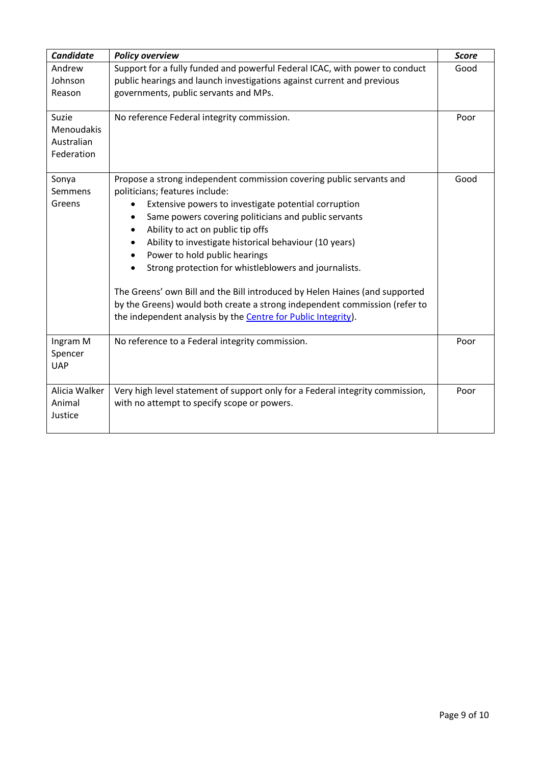| <b>Candidate</b>                                | <b>Policy overview</b>                                                                                                                                                                                                                                                                                                                                                                                                                                                                                                                                                                                                                             | <b>Score</b> |
|-------------------------------------------------|----------------------------------------------------------------------------------------------------------------------------------------------------------------------------------------------------------------------------------------------------------------------------------------------------------------------------------------------------------------------------------------------------------------------------------------------------------------------------------------------------------------------------------------------------------------------------------------------------------------------------------------------------|--------------|
| Andrew<br>Johnson<br>Reason                     | Support for a fully funded and powerful Federal ICAC, with power to conduct<br>public hearings and launch investigations against current and previous<br>governments, public servants and MPs.                                                                                                                                                                                                                                                                                                                                                                                                                                                     | Good         |
| Suzie<br>Menoudakis<br>Australian<br>Federation | No reference Federal integrity commission.                                                                                                                                                                                                                                                                                                                                                                                                                                                                                                                                                                                                         | Poor         |
| Sonya<br>Semmens<br>Greens                      | Propose a strong independent commission covering public servants and<br>politicians; features include:<br>Extensive powers to investigate potential corruption<br>٠<br>Same powers covering politicians and public servants<br>Ability to act on public tip offs<br>Ability to investigate historical behaviour (10 years)<br>Power to hold public hearings<br>Strong protection for whistleblowers and journalists.<br>The Greens' own Bill and the Bill introduced by Helen Haines (and supported<br>by the Greens) would both create a strong independent commission (refer to<br>the independent analysis by the Centre for Public Integrity). | Good         |
| Ingram M<br>Spencer<br><b>UAP</b>               | No reference to a Federal integrity commission.                                                                                                                                                                                                                                                                                                                                                                                                                                                                                                                                                                                                    | Poor         |
| Alicia Walker<br>Animal<br>Justice              | Very high level statement of support only for a Federal integrity commission,<br>with no attempt to specify scope or powers.                                                                                                                                                                                                                                                                                                                                                                                                                                                                                                                       | Poor         |